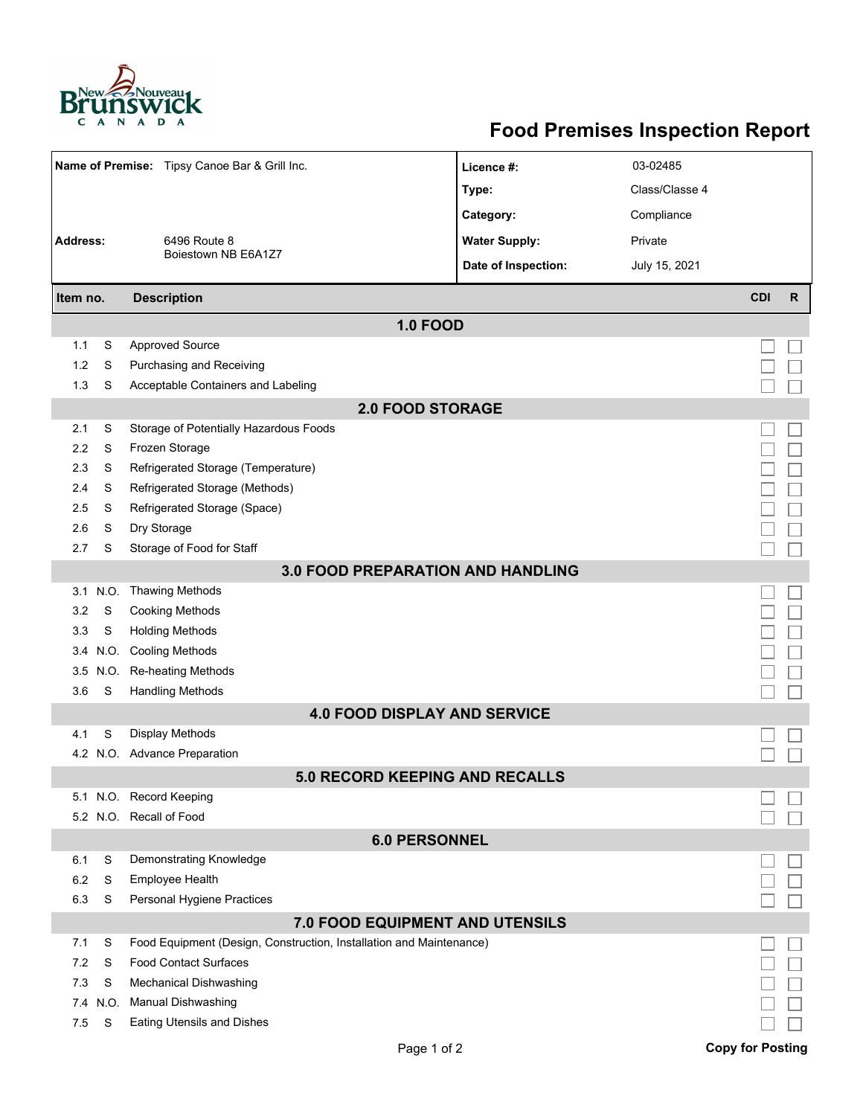

## **Food Premises Inspection Report**

| Name of Premise: Tipsy Canoe Bar & Grill Inc. |           |                                                                                                     | Licence #:           | 03-02485       |                         |              |  |  |  |  |
|-----------------------------------------------|-----------|-----------------------------------------------------------------------------------------------------|----------------------|----------------|-------------------------|--------------|--|--|--|--|
|                                               |           |                                                                                                     | Type:                | Class/Classe 4 |                         |              |  |  |  |  |
|                                               |           |                                                                                                     | Category:            | Compliance     |                         |              |  |  |  |  |
| <b>Address:</b>                               |           | 6496 Route 8                                                                                        | <b>Water Supply:</b> | Private        |                         |              |  |  |  |  |
|                                               |           | Boiestown NB E6A1Z7                                                                                 | Date of Inspection:  | July 15, 2021  |                         |              |  |  |  |  |
|                                               |           |                                                                                                     |                      |                |                         |              |  |  |  |  |
| <b>Description</b><br>Item no.                |           |                                                                                                     |                      |                | <b>CDI</b>              | $\mathsf{R}$ |  |  |  |  |
| <b>1.0 FOOD</b>                               |           |                                                                                                     |                      |                |                         |              |  |  |  |  |
| 1.1                                           | S         | <b>Approved Source</b>                                                                              |                      |                |                         |              |  |  |  |  |
| 1.2                                           | S         | Purchasing and Receiving                                                                            |                      |                |                         |              |  |  |  |  |
| 1.3                                           | S         | Acceptable Containers and Labeling                                                                  |                      |                |                         |              |  |  |  |  |
| <b>2.0 FOOD STORAGE</b>                       |           |                                                                                                     |                      |                |                         |              |  |  |  |  |
| 2.1                                           | S         | Storage of Potentially Hazardous Foods                                                              |                      |                |                         |              |  |  |  |  |
| 2.2                                           | S         | Frozen Storage                                                                                      |                      |                |                         |              |  |  |  |  |
| 2.3                                           | S         | Refrigerated Storage (Temperature)                                                                  |                      |                |                         |              |  |  |  |  |
| 2.4                                           | S         | Refrigerated Storage (Methods)                                                                      |                      |                |                         |              |  |  |  |  |
| 2.5                                           | S         | Refrigerated Storage (Space)                                                                        |                      |                |                         |              |  |  |  |  |
| 2.6                                           | S         | Dry Storage                                                                                         |                      |                |                         |              |  |  |  |  |
| 2.7                                           | S         | Storage of Food for Staff                                                                           |                      |                |                         |              |  |  |  |  |
| <b>3.0 FOOD PREPARATION AND HANDLING</b>      |           |                                                                                                     |                      |                |                         |              |  |  |  |  |
|                                               | 3.1 N.O.  | <b>Thawing Methods</b>                                                                              |                      |                |                         |              |  |  |  |  |
| 3.2                                           | S         | <b>Cooking Methods</b>                                                                              |                      |                |                         |              |  |  |  |  |
| 3.3                                           | S         | <b>Holding Methods</b>                                                                              |                      |                |                         |              |  |  |  |  |
| 3.4                                           | N.O.      | <b>Cooling Methods</b>                                                                              |                      |                |                         |              |  |  |  |  |
| 3.5                                           | N.O.      | Re-heating Methods                                                                                  |                      |                |                         |              |  |  |  |  |
| 3.6                                           | S         | <b>Handling Methods</b>                                                                             |                      |                |                         |              |  |  |  |  |
|                                               |           | <b>4.0 FOOD DISPLAY AND SERVICE</b>                                                                 |                      |                |                         |              |  |  |  |  |
| 4.1                                           | S         | Display Methods                                                                                     |                      |                |                         |              |  |  |  |  |
| 4.2                                           |           | N.O. Advance Preparation                                                                            |                      |                |                         |              |  |  |  |  |
|                                               |           | <b>5.0 RECORD KEEPING AND RECALLS</b>                                                               |                      |                |                         |              |  |  |  |  |
|                                               |           | 5.1 N.O. Record Keeping                                                                             |                      |                |                         |              |  |  |  |  |
|                                               |           | 5.2 N.O. Recall of Food                                                                             |                      |                |                         |              |  |  |  |  |
| <b>6.0 PERSONNEL</b>                          |           |                                                                                                     |                      |                |                         |              |  |  |  |  |
| 6.1                                           | S         | Demonstrating Knowledge                                                                             |                      |                |                         |              |  |  |  |  |
| 6.2                                           | S         | Employee Health                                                                                     |                      |                |                         |              |  |  |  |  |
| 6.3                                           | S         | Personal Hygiene Practices                                                                          |                      |                |                         |              |  |  |  |  |
| 7.0 FOOD EQUIPMENT AND UTENSILS               |           |                                                                                                     |                      |                |                         |              |  |  |  |  |
| 7.1                                           | S         | Food Equipment (Design, Construction, Installation and Maintenance)<br><b>Food Contact Surfaces</b> |                      |                |                         |              |  |  |  |  |
| 7.2                                           | S         |                                                                                                     |                      |                |                         |              |  |  |  |  |
| 7.3<br>7.4                                    | S<br>N.O. | <b>Mechanical Dishwashing</b><br>Manual Dishwashing                                                 |                      |                |                         |              |  |  |  |  |
| 7.5                                           | S         | <b>Eating Utensils and Dishes</b>                                                                   |                      |                |                         |              |  |  |  |  |
|                                               |           |                                                                                                     |                      |                |                         |              |  |  |  |  |
|                                               |           | Page 1 of 2                                                                                         |                      |                | <b>Copy for Posting</b> |              |  |  |  |  |